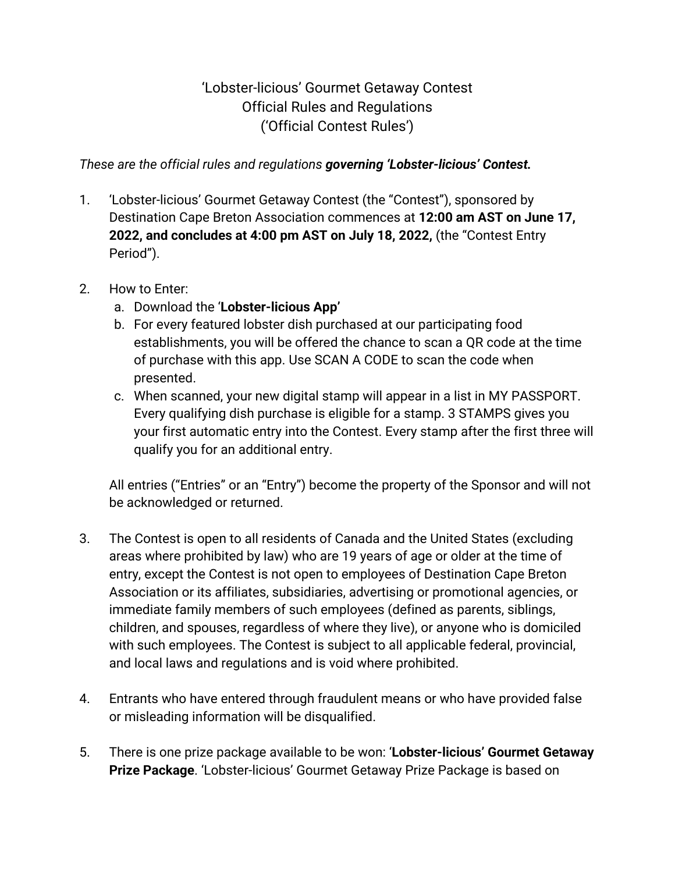## 'Lobster-licious' Gourmet Getaway Contest Official Rules and Regulations ('Official Contest Rules')

*These are the official rules and regulations governing 'Lobster-licious' Contest.*

- 1. 'Lobster-licious' Gourmet Getaway Contest (the "Contest"), sponsored by Destination Cape Breton Association commences at **12:00 am AST on June 17, 2022, and concludes at 4:00 pm AST on July 18, 2022,** (the "Contest Entry Period").
- 2. How to Enter:
	- a. Download the '**Lobster-licious App'**
	- b. For every featured lobster dish purchased at our participating food establishments, you will be offered the chance to scan a QR code at the time of purchase with this app. Use SCAN A CODE to scan the code when presented.
	- c. When scanned, your new digital stamp will appear in a list in MY PASSPORT. Every qualifying dish purchase is eligible for a stamp. 3 STAMPS gives you your first automatic entry into the Contest. Every stamp after the first three will qualify you for an additional entry.

All entries ("Entries" or an "Entry") become the property of the Sponsor and will not be acknowledged or returned.

- 3. The Contest is open to all residents of Canada and the United States (excluding areas where prohibited by law) who are 19 years of age or older at the time of entry, except the Contest is not open to employees of Destination Cape Breton Association or its affiliates, subsidiaries, advertising or promotional agencies, or immediate family members of such employees (defined as parents, siblings, children, and spouses, regardless of where they live), or anyone who is domiciled with such employees. The Contest is subject to all applicable federal, provincial, and local laws and regulations and is void where prohibited.
- 4. Entrants who have entered through fraudulent means or who have provided false or misleading information will be disqualified.
- 5. There is one prize package available to be won: '**Lobster-licious' Gourmet Getaway Prize Package**. 'Lobster-licious' Gourmet Getaway Prize Package is based on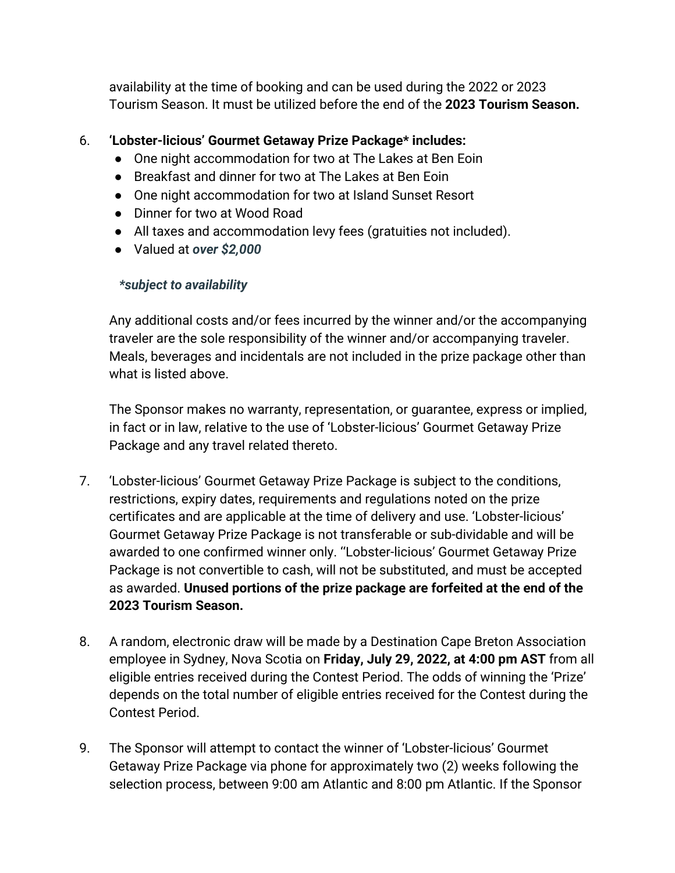availability at the time of booking and can be used during the 2022 or 2023 Tourism Season. It must be utilized before the end of the **2023 Tourism Season.** 

## 6. **'Lobster-licious' Gourmet Getaway Prize Package\* includes:**

- One night accommodation for two at The Lakes at Ben Eoin
- Breakfast and dinner for two at The Lakes at Ben Eoin
- One night accommodation for two at Island Sunset Resort
- Dinner for two at Wood Road
- All taxes and accommodation levy fees (gratuities not included).
- Valued at *over \$2,000*

## *\*subject to availability*

Any additional costs and/or fees incurred by the winner and/or the accompanying traveler are the sole responsibility of the winner and/or accompanying traveler. Meals, beverages and incidentals are not included in the prize package other than what is listed above.

The Sponsor makes no warranty, representation, or guarantee, express or implied, in fact or in law, relative to the use of 'Lobster-licious' Gourmet Getaway Prize Package and any travel related thereto.

- 7. 'Lobster-licious' Gourmet Getaway Prize Package is subject to the conditions, restrictions, expiry dates, requirements and regulations noted on the prize certificates and are applicable at the time of delivery and use. 'Lobster-licious' Gourmet Getaway Prize Package is not transferable or sub-dividable and will be awarded to one confirmed winner only. ''Lobster-licious' Gourmet Getaway Prize Package is not convertible to cash, will not be substituted, and must be accepted as awarded. **Unused portions of the prize package are forfeited at the end of the 2023 Tourism Season.**
- 8. A random, electronic draw will be made by a Destination Cape Breton Association employee in Sydney, Nova Scotia on **Friday, July 29, 2022, at 4:00 pm AST** from all eligible entries received during the Contest Period. The odds of winning the 'Prize' depends on the total number of eligible entries received for the Contest during the Contest Period.
- 9. The Sponsor will attempt to contact the winner of 'Lobster-licious' Gourmet Getaway Prize Package via phone for approximately two (2) weeks following the selection process, between 9:00 am Atlantic and 8:00 pm Atlantic. If the Sponsor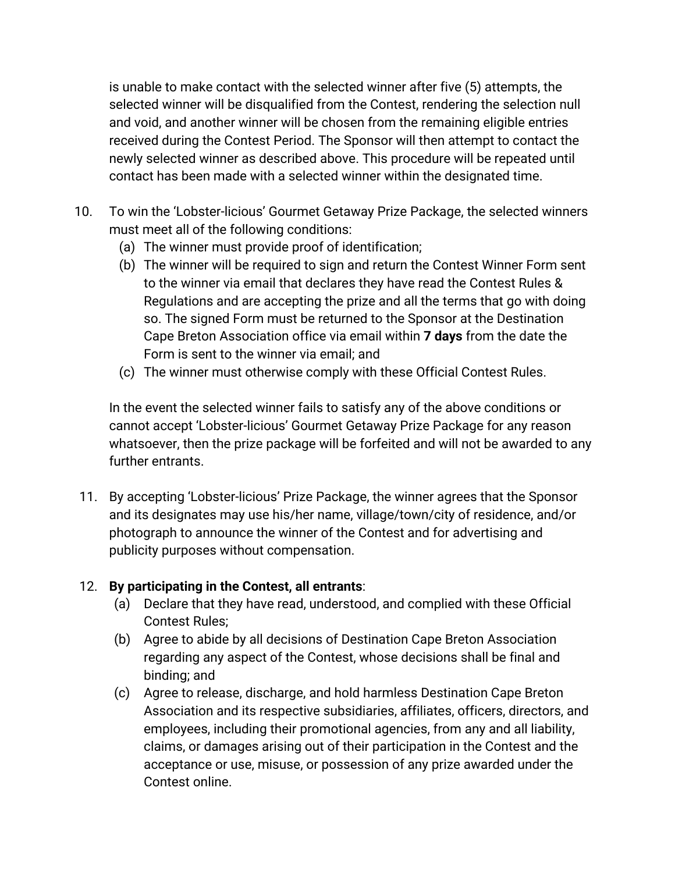is unable to make contact with the selected winner after five (5) attempts, the selected winner will be disqualified from the Contest, rendering the selection null and void, and another winner will be chosen from the remaining eligible entries received during the Contest Period. The Sponsor will then attempt to contact the newly selected winner as described above. This procedure will be repeated until contact has been made with a selected winner within the designated time.

- 10. To win the 'Lobster-licious' Gourmet Getaway Prize Package, the selected winners must meet all of the following conditions:
	- (a) The winner must provide proof of identification;
	- (b) The winner will be required to sign and return the Contest Winner Form sent to the winner via email that declares they have read the Contest Rules & Regulations and are accepting the prize and all the terms that go with doing so. The signed Form must be returned to the Sponsor at the Destination Cape Breton Association office via email within **7 days** from the date the Form is sent to the winner via email; and
	- (c) The winner must otherwise comply with these Official Contest Rules.

In the event the selected winner fails to satisfy any of the above conditions or cannot accept 'Lobster-licious' Gourmet Getaway Prize Package for any reason whatsoever, then the prize package will be forfeited and will not be awarded to any further entrants.

11. By accepting 'Lobster-licious' Prize Package, the winner agrees that the Sponsor and its designates may use his/her name, village/town/city of residence, and/or photograph to announce the winner of the Contest and for advertising and publicity purposes without compensation.

## 12. **By participating in the Contest, all entrants**:

- (a) Declare that they have read, understood, and complied with these Official Contest Rules;
- (b) Agree to abide by all decisions of Destination Cape Breton Association regarding any aspect of the Contest, whose decisions shall be final and binding; and
- (c) Agree to release, discharge, and hold harmless Destination Cape Breton Association and its respective subsidiaries, affiliates, officers, directors, and employees, including their promotional agencies, from any and all liability, claims, or damages arising out of their participation in the Contest and the acceptance or use, misuse, or possession of any prize awarded under the Contest online.